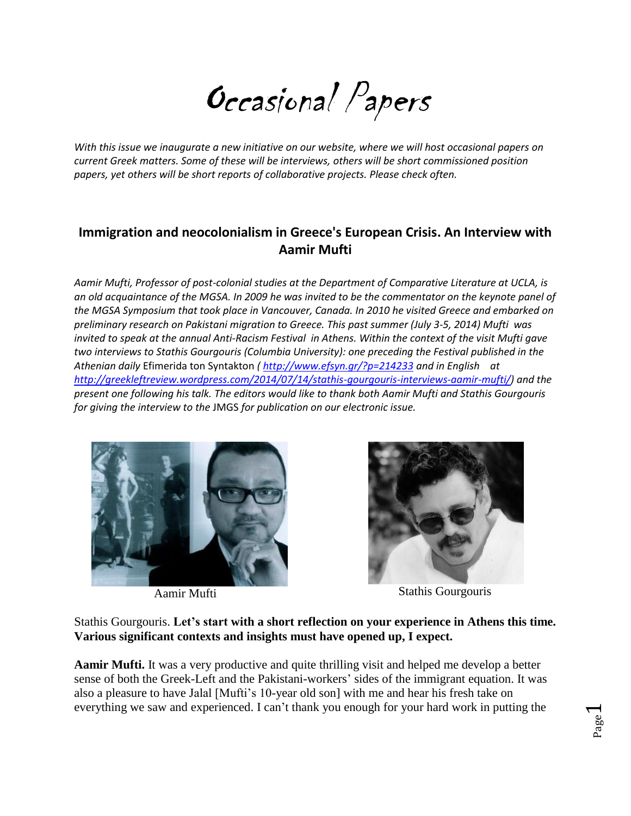Occasional Papers

*With this issue we inaugurate a new initiative on our website, where we will host occasional papers on current Greek matters. Some of these will be interviews, others will be short commissioned position papers, yet others will be short reports of collaborative projects. Please check often.* 

## **Immigration and neocolonialism in Greece's European Crisis. An Interview with Aamir Mufti**

*Aamir Mufti, Professor of post-colonial studies at the Department of Comparative Literature at UCLA, is an old acquaintance of the MGSA. In 2009 he was invited to be the commentator on the keynote panel of the MGSA Symposium that took place in Vancouver, Canada. In 2010 he visited Greece and embarked on preliminary research on Pakistani migration to Greece. This past summer (July 3-5, 2014) Mufti was invited to speak at the annual Anti-Racism Festival in Athens. Within the context of the visit Mufti gave two interviews to Stathis Gourgouris (Columbia University): one preceding the Festival published in the Athenian daily* Efimerida ton Syntakton *( <http://www.efsyn.gr/?p=214233> and in English at [http://greekleftreview.wordpress.com/2014/07/14/stathis-gourgouris-interviews-aamir-mufti/\)](http://greekleftreview.wordpress.com/2014/07/14/stathis-gourgouris-interviews-aamir-mufti/) and the present one following his talk. The editors would like to thank both Aamir Mufti and Stathis Gourgouris for giving the interview to the* JMGS *for publication on our electronic issue.* 





Aamir Mufti Stathis Gourgouris

Page  $\overline{\phantom{0}}$ 

Stathis Gourgouris. **Let's start with a short reflection on your experience in Athens this time. Various significant contexts and insights must have opened up, I expect.**

**Aamir Mufti.** It was a very productive and quite thrilling visit and helped me develop a better sense of both the Greek-Left and the Pakistani-workers' sides of the immigrant equation. It was also a pleasure to have Jalal [Mufti's 10-year old son] with me and hear his fresh take on everything we saw and experienced. I can't thank you enough for your hard work in putting the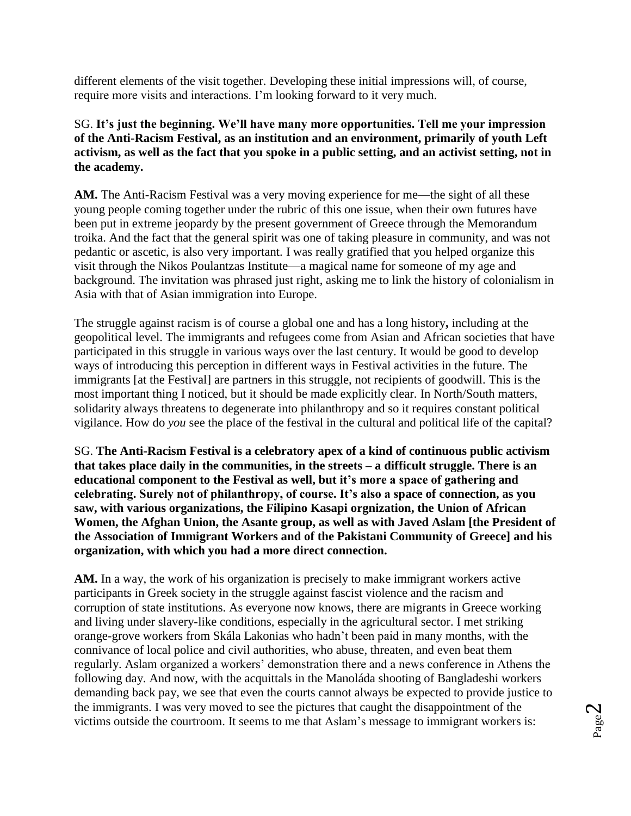different elements of the visit together. Developing these initial impressions will, of course, require more visits and interactions. I'm looking forward to it very much.

SG. **It's just the beginning. We'll have many more opportunities. Tell me your impression of the Anti-Racism Festival, as an institution and an environment, primarily of youth Left activism, as well as the fact that you spoke in a public setting, and an activist setting, not in the academy.**

**AM.** Τhe Anti-Racism Festival was a very moving experience for me—the sight of all these young people coming together under the rubric of this one issue, when their own futures have been put in extreme jeopardy by the present government of Greece through the Memorandum troika. And the fact that the general spirit was one of taking pleasure in community, and was not pedantic or ascetic, is also very important. I was really gratified that you helped organize this visit through the Nikos Poulantzas Institute—a magical name for someone of my age and background. The invitation was phrased just right, asking me to link the history of colonialism in Asia with that of Asian immigration into Europe.

The struggle against racism is of course a global one and has a long history**,** including at the geopolitical level. The immigrants and refugees come from Asian and African societies that have participated in this struggle in various ways over the last century. It would be good to develop ways of introducing this perception in different ways in Festival activities in the future. The immigrants [at the Festival] are partners in this struggle, not recipients of goodwill. This is the most important thing I noticed, but it should be made explicitly clear. In North/South matters, solidarity always threatens to degenerate into philanthropy and so it requires constant political vigilance. How do *you* see the place of the festival in the cultural and political life of the capital?

SG. **The Anti-Racism Festival is a celebratory apex of a kind of continuous public activism that takes place daily in the communities, in the streets – a difficult struggle. There is an educational component to the Festival as well, but it's more a space of gathering and celebrating. Surely not of philanthropy, of course. It's also a space of connection, as you saw, with various organizations, the Filipino Kasapi orgnization, the Union of African Women, the Afghan Union, the Asante group, as well as with Javed Aslam [the President of the Association of Immigrant Workers and of the Pakistani Community of Greece] and his organization, with which you had a more direct connection.**

**AM.** In a way, the work of his organization is precisely to make immigrant workers active participants in Greek society in the struggle against fascist violence and the racism and corruption of state institutions. As everyone now knows, there are migrants in Greece working and living under slavery-like conditions, especially in the agricultural sector. I met striking orange-grove workers from Skála Lakonias who hadn't been paid in many months, with the connivance of local police and civil authorities, who abuse, threaten, and even beat them regularly. Aslam organized a workers' demonstration there and a news conference in Athens the following day. And now, with the acquittals in the Manoláda shooting of Bangladeshi workers demanding back pay, we see that even the courts cannot always be expected to provide justice to the immigrants. I was very moved to see the pictures that caught the disappointment of the victims outside the courtroom. It seems to me that Aslam's message to immigrant workers is: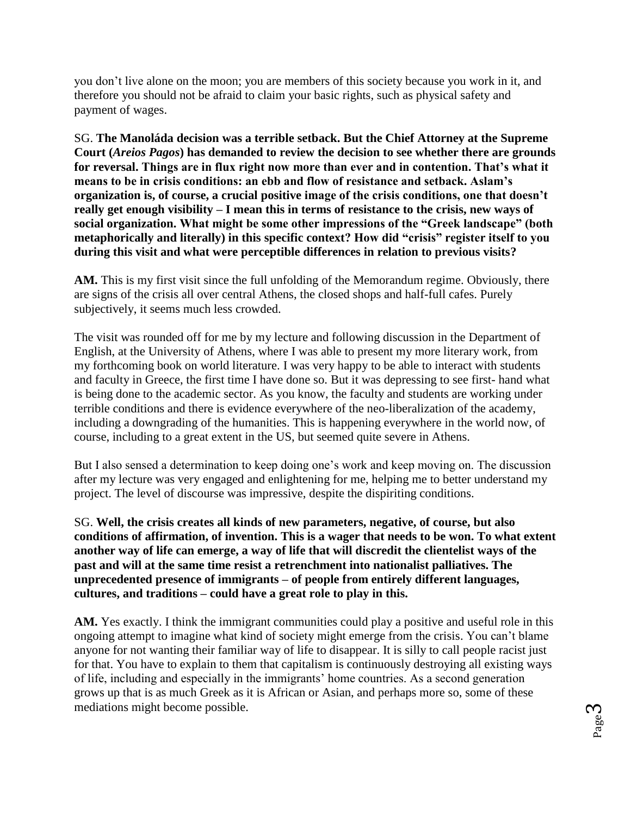you don't live alone on the moon; you are members of this society because you work in it, and therefore you should not be afraid to claim your basic rights, such as physical safety and payment of wages.

SG. **The Manoláda decision was a terrible setback. But the Chief Attorney at the Supreme Court (***Areios Pagos***) has demanded to review the decision to see whether there are grounds for reversal. Things are in flux right now more than ever and in contention. That's what it means to be in crisis conditions: an ebb and flow of resistance and setback. Aslam's organization is, of course, a crucial positive image of the crisis conditions, one that doesn't really get enough visibility – I mean this in terms of resistance to the crisis, new ways of social organization. What might be some other impressions of the "Greek landscape" (both metaphorically and literally) in this specific context? How did "crisis" register itself to you during this visit and what were perceptible differences in relation to previous visits?**

**AM.** This is my first visit since the full unfolding of the Memorandum regime. Obviously, there are signs of the crisis all over central Athens, the closed shops and half-full cafes. Purely subjectively, it seems much less crowded.

The visit was rounded off for me by my lecture and following discussion in the Department of English, at the University of Athens, where I was able to present my more literary work, from my forthcoming book on world literature. I was very happy to be able to interact with students and faculty in Greece, the first time I have done so. But it was depressing to see first- hand what is being done to the academic sector. As you know, the faculty and students are working under terrible conditions and there is evidence everywhere of the neo-liberalization of the academy, including a downgrading of the humanities. This is happening everywhere in the world now, of course, including to a great extent in the US, but seemed quite severe in Athens.

But I also sensed a determination to keep doing one's work and keep moving on. The discussion after my lecture was very engaged and enlightening for me, helping me to better understand my project. The level of discourse was impressive, despite the dispiriting conditions.

SG. **Well, the crisis creates all kinds of new parameters, negative, of course, but also conditions of affirmation, of invention. This is a wager that needs to be won. To what extent another way of life can emerge, a way of life that will discredit the clientelist ways of the past and will at the same time resist a retrenchment into nationalist palliatives. The unprecedented presence of immigrants – of people from entirely different languages, cultures, and traditions – could have a great role to play in this.**

**AM.** Yes exactly. I think the immigrant communities could play a positive and useful role in this ongoing attempt to imagine what kind of society might emerge from the crisis. You can't blame anyone for not wanting their familiar way of life to disappear. It is silly to call people racist just for that. You have to explain to them that capitalism is continuously destroying all existing ways of life, including and especially in the immigrants' home countries. As a second generation grows up that is as much Greek as it is African or Asian, and perhaps more so, some of these mediations might become possible.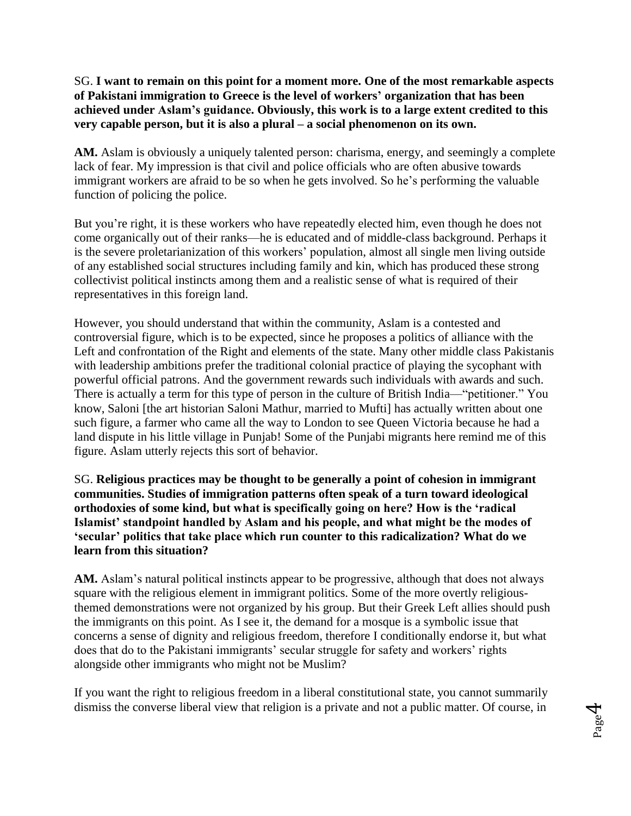## SG. **I want to remain on this point for a moment more. One of the most remarkable aspects of Pakistani immigration to Greece is the level of workers' organization that has been achieved under Aslam's guidance. Obviously, this work is to a large extent credited to this very capable person, but it is also a plural – a social phenomenon on its own.**

**AM.** Aslam is obviously a uniquely talented person: charisma, energy, and seemingly a complete lack of fear. My impression is that civil and police officials who are often abusive towards immigrant workers are afraid to be so when he gets involved. So he's performing the valuable function of policing the police.

But you're right, it is these workers who have repeatedly elected him, even though he does not come organically out of their ranks—he is educated and of middle-class background. Perhaps it is the severe proletarianization of this workers' population, almost all single men living outside of any established social structures including family and kin, which has produced these strong collectivist political instincts among them and a realistic sense of what is required of their representatives in this foreign land.

However, you should understand that within the community, Aslam is a contested and controversial figure, which is to be expected, since he proposes a politics of alliance with the Left and confrontation of the Right and elements of the state. Many other middle class Pakistanis with leadership ambitions prefer the traditional colonial practice of playing the sycophant with powerful official patrons. And the government rewards such individuals with awards and such. There is actually a term for this type of person in the culture of British India—"petitioner." You know, Saloni [the art historian Saloni Mathur, married to Mufti] has actually written about one such figure, a farmer who came all the way to London to see Queen Victoria because he had a land dispute in his little village in Punjab! Some of the Punjabi migrants here remind me of this figure. Aslam utterly rejects this sort of behavior.

SG. **Religious practices may be thought to be generally a point of cohesion in immigrant communities. Studies of immigration patterns often speak of a turn toward ideological orthodoxies of some kind, but what is specifically going on here? How is the 'radical Islamist' standpoint handled by Aslam and his people, and what might be the modes of 'secular' politics that take place which run counter to this radicalization? What do we learn from this situation?**

**AM.** Aslam's natural political instincts appear to be progressive, although that does not always square with the religious element in immigrant politics. Some of the more overtly religiousthemed demonstrations were not organized by his group. But their Greek Left allies should push the immigrants on this point. As I see it, the demand for a mosque is a symbolic issue that concerns a sense of dignity and religious freedom, therefore I conditionally endorse it, but what does that do to the Pakistani immigrants' secular struggle for safety and workers' rights alongside other immigrants who might not be Muslim?

If you want the right to religious freedom in a liberal constitutional state, you cannot summarily dismiss the converse liberal view that religion is a private and not a public matter. Of course, in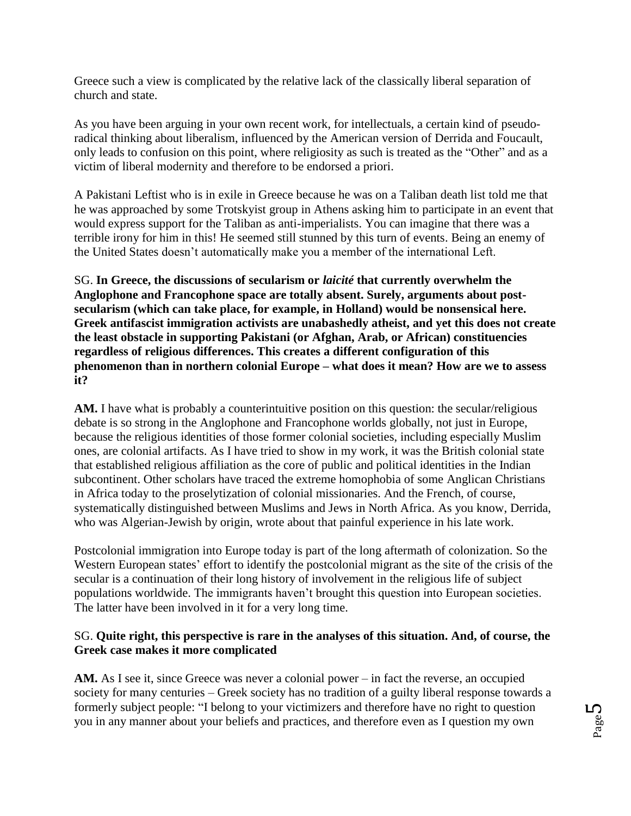Greece such a view is complicated by the relative lack of the classically liberal separation of church and state.

As you have been arguing in your own recent work, for intellectuals, a certain kind of pseudoradical thinking about liberalism, influenced by the American version of Derrida and Foucault, only leads to confusion on this point, where religiosity as such is treated as the "Other" and as a victim of liberal modernity and therefore to be endorsed a priori.

A Pakistani Leftist who is in exile in Greece because he was on a Taliban death list told me that he was approached by some Trotskyist group in Athens asking him to participate in an event that would express support for the Taliban as anti-imperialists. You can imagine that there was a terrible irony for him in this! He seemed still stunned by this turn of events. Being an enemy of the United States doesn't automatically make you a member of the international Left.

SG. **In Greece, the discussions of secularism or** *laicité* **that currently overwhelm the Anglophone and Francophone space are totally absent. Surely, arguments about postsecularism (which can take place, for example, in Holland) would be nonsensical here. Greek antifascist immigration activists are unabashedly atheist, and yet this does not create the least obstacle in supporting Pakistani (or Afghan, Arab, or African) constituencies regardless of religious differences. This creates a different configuration of this phenomenon than in northern colonial Europe – what does it mean? How are we to assess it?** 

**AM.** I have what is probably a counterintuitive position on this question: the secular/religious debate is so strong in the Anglophone and Francophone worlds globally, not just in Europe, because the religious identities of those former colonial societies, including especially Muslim ones, are colonial artifacts. As I have tried to show in my work, it was the British colonial state that established religious affiliation as the core of public and political identities in the Indian subcontinent. Other scholars have traced the extreme homophobia of some Anglican Christians in Africa today to the proselytization of colonial missionaries. And the French, of course, systematically distinguished between Muslims and Jews in North Africa. As you know, Derrida, who was Algerian-Jewish by origin, wrote about that painful experience in his late work.

Postcolonial immigration into Europe today is part of the long aftermath of colonization. So the Western European states' effort to identify the postcolonial migrant as the site of the crisis of the secular is a continuation of their long history of involvement in the religious life of subject populations worldwide. The immigrants haven't brought this question into European societies. The latter have been involved in it for a very long time.

## SG. **Quite right, this perspective is rare in the analyses of this situation. And, of course, the Greek case makes it more complicated**

**AM.** As I see it, since Greece was never a colonial power – in fact the reverse, an occupied society for many centuries – Greek society has no tradition of a guilty liberal response towards a formerly subject people: "I belong to your victimizers and therefore have no right to question you in any manner about your beliefs and practices, and therefore even as I question my own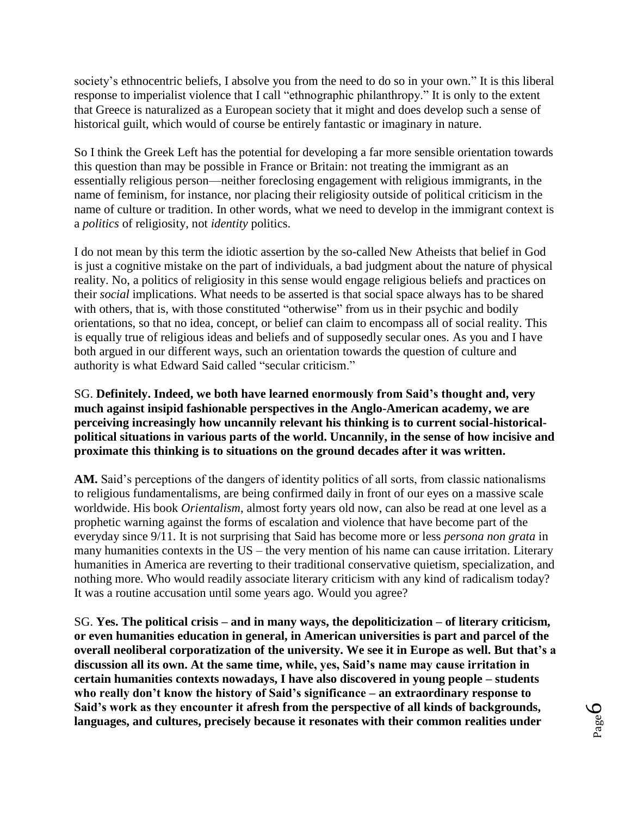society's ethnocentric beliefs, I absolve you from the need to do so in your own." It is this liberal response to imperialist violence that I call "ethnographic philanthropy." It is only to the extent that Greece is naturalized as a European society that it might and does develop such a sense of historical guilt, which would of course be entirely fantastic or imaginary in nature.

So I think the Greek Left has the potential for developing a far more sensible orientation towards this question than may be possible in France or Britain: not treating the immigrant as an essentially religious person—neither foreclosing engagement with religious immigrants, in the name of feminism, for instance, nor placing their religiosity outside of political criticism in the name of culture or tradition. In other words, what we need to develop in the immigrant context is a *politics* of religiosity, not *identity* politics.

I do not mean by this term the idiotic assertion by the so-called New Atheists that belief in God is just a cognitive mistake on the part of individuals, a bad judgment about the nature of physical reality. No, a politics of religiosity in this sense would engage religious beliefs and practices on their *social* implications. What needs to be asserted is that social space always has to be shared with others, that is, with those constituted "otherwise" from us in their psychic and bodily orientations, so that no idea, concept, or belief can claim to encompass all of social reality. This is equally true of religious ideas and beliefs and of supposedly secular ones. As you and I have both argued in our different ways, such an orientation towards the question of culture and authority is what Edward Said called "secular criticism."

SG. **Definitely. Indeed, we both have learned enormously from Said's thought and, very much against insipid fashionable perspectives in the Anglo-American academy, we are perceiving increasingly how uncannily relevant his thinking is to current social-historicalpolitical situations in various parts of the world. Uncannily, in the sense of how incisive and proximate this thinking is to situations on the ground decades after it was written.** 

**AM.** Said's perceptions of the dangers of identity politics of all sorts, from classic nationalisms to religious fundamentalisms, are being confirmed daily in front of our eyes on a massive scale worldwide. His book *Orientalism*, almost forty years old now, can also be read at one level as a prophetic warning against the forms of escalation and violence that have become part of the everyday since 9/11. It is not surprising that Said has become more or less *persona non grata* in many humanities contexts in the US – the very mention of his name can cause irritation. Literary humanities in America are reverting to their traditional conservative quietism, specialization, and nothing more. Who would readily associate literary criticism with any kind of radicalism today? It was a routine accusation until some years ago. Would you agree?

SG. **Yes. The political crisis – and in many ways, the depoliticization – of literary criticism, or even humanities education in general, in American universities is part and parcel of the overall neoliberal corporatization of the university. We see it in Europe as well. But that's a discussion all its own. At the same time, while, yes, Said's name may cause irritation in certain humanities contexts nowadays, I have also discovered in young people – students who really don't know the history of Said's significance – an extraordinary response to Said's work as they encounter it afresh from the perspective of all kinds of backgrounds, languages, and cultures, precisely because it resonates with their common realities under**